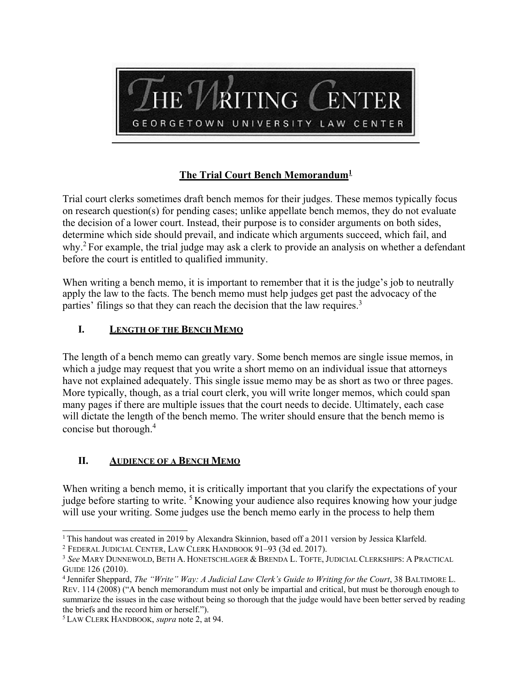

# **The Trial Court Bench Memorandum[1](#page-0-0)**

Trial court clerks sometimes draft bench memos for their judges. These memos typically focus on research question(s) for pending cases; unlike appellate bench memos, they do not evaluate the decision of a lower court. Instead, their purpose is to consider arguments on both sides, determine which side should prevail, and indicate which arguments succeed, which fail, and why.<sup>2</sup> For example, the trial judge may ask a clerk to provide an analysis on whether a defendant before the court is entitled to qualified immunity.

When writing a bench memo, it is important to remember that it is the judge's job to neutrally apply the law to the facts. The bench memo must help judges get past the advocacy of the parties' filings so that they can reach the decision that the law requires.<sup>[3](#page-0-2)</sup>

### **I. LENGTH OF THE BENCH MEMO**

The length of a bench memo can greatly vary. Some bench memos are single issue memos, in which a judge may request that you write a short memo on an individual issue that attorneys have not explained adequately. This single issue memo may be as short as two or three pages. More typically, though, as a trial court clerk, you will write longer memos, which could span many pages if there are multiple issues that the court needs to decide. Ultimately, each case will dictate the length of the bench memo. The writer should ensure that the bench memo is concise but thorough[.](#page-0-3)<sup>4</sup>

#### **II. AUDIENCE OF A BENCH MEMO**

When writing a bench memo, it is critically important that you clarify the expectations of your judge before starting to write. <sup>5</sup> Knowing your audience also requires knowing how your judge will use your writing. Some judges use the bench memo early in the process to help them

<span id="page-0-0"></span><sup>&</sup>lt;sup>1</sup> This handout was created in 2019 by Alexandra Skinnion, based off a 2011 version by Jessica Klarfeld.

<span id="page-0-1"></span><sup>2</sup> FEDERAL JUDICIAL CENTER, LAW CLERK HANDBOOK 91–93 (3d ed. 2017).

<span id="page-0-2"></span><sup>3</sup> *See* MARY DUNNEWOLD, BETH A. HONETSCHLAGER & BRENDA L. TOFTE, JUDICIALCLERKSHIPS: A PRACTICAL GUIDE 126 (2010).

<span id="page-0-3"></span><sup>4</sup> Jennifer Sheppard, *The "Write" Way: A Judicial Law Clerk's Guide to Writing for the Court*, 38 BALTIMORE L. REV. 114 (2008) ("A bench memorandum must not only be impartial and critical, but must be thorough enough to summarize the issues in the case without being so thorough that the judge would have been better served by reading the briefs and the record him or herself.").

<span id="page-0-4"></span><sup>5</sup> LAW CLERK HANDBOOK, *supra* note 2, at 94.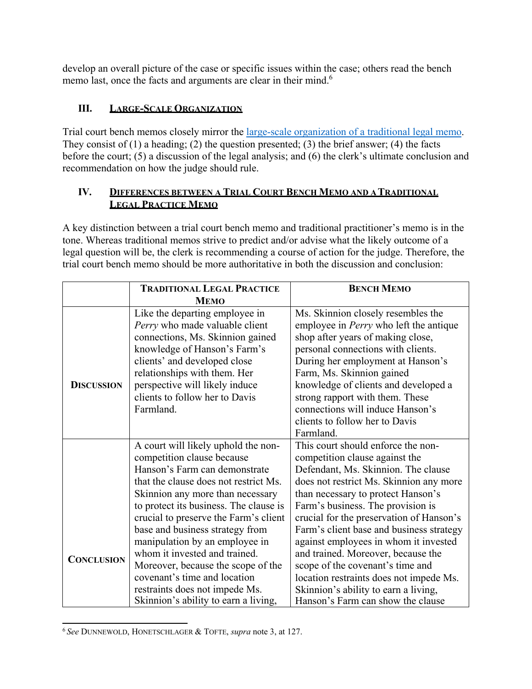develop an overall picture of the case or specific issues within the case; others read the bench memo last, once the facts and arguments are clear in their mind.<sup>[6](#page-1-0)</sup>

## **III. LARGE-SCALE ORGANIZATION**

Trial court bench memos closely mirror the [large-scale organization of a traditional legal memo.](https://www.law.georgetown.edu/wp-content/uploads/2019/08/Tips-for-Effective-Organization.pdf) They consist of  $(1)$  a heading;  $(2)$  the question presented;  $(3)$  the brief answer;  $(4)$  the facts before the court; (5) a discussion of the legal analysis; and (6) the clerk's ultimate conclusion and recommendation on how the judge should rule.

#### **IV. DIFFERENCES BETWEEN A TRIAL COURT BENCH MEMO AND A TRADITIONAL LEGAL PRACTICE MEMO**

A key distinction between a trial court bench memo and traditional practitioner's memo is in the tone. Whereas traditional memos strive to predict and/or advise what the likely outcome of a legal question will be, the clerk is recommending a course of action for the judge. Therefore, the trial court bench memo should be more authoritative in both the discussion and conclusion:

|                   | <b>TRADITIONAL LEGAL PRACTICE</b>      | <b>BENCH MEMO</b>                             |
|-------------------|----------------------------------------|-----------------------------------------------|
|                   | <b>MEMO</b>                            |                                               |
|                   | Like the departing employee in         | Ms. Skinnion closely resembles the            |
|                   | Perry who made valuable client         | employee in <i>Perry</i> who left the antique |
|                   | connections, Ms. Skinnion gained       | shop after years of making close,             |
|                   | knowledge of Hanson's Farm's           | personal connections with clients.            |
|                   | clients' and developed close           | During her employment at Hanson's             |
|                   | relationships with them. Her           | Farm, Ms. Skinnion gained                     |
| <b>DISCUSSION</b> | perspective will likely induce         | knowledge of clients and developed a          |
|                   | clients to follow her to Davis         | strong rapport with them. These               |
|                   | Farmland.                              | connections will induce Hanson's              |
|                   |                                        | clients to follow her to Davis                |
|                   |                                        | Farmland.                                     |
|                   | A court will likely uphold the non-    | This court should enforce the non-            |
|                   | competition clause because             | competition clause against the                |
|                   | Hanson's Farm can demonstrate          | Defendant, Ms. Skinnion. The clause           |
|                   | that the clause does not restrict Ms.  | does not restrict Ms. Skinnion any more       |
|                   | Skinnion any more than necessary       | than necessary to protect Hanson's            |
|                   | to protect its business. The clause is | Farm's business. The provision is             |
|                   | crucial to preserve the Farm's client  | crucial for the preservation of Hanson's      |
| <b>CONCLUSION</b> | base and business strategy from        | Farm's client base and business strategy      |
|                   | manipulation by an employee in         | against employees in whom it invested         |
|                   | whom it invested and trained.          | and trained. Moreover, because the            |
|                   | Moreover, because the scope of the     | scope of the covenant's time and              |
|                   | covenant's time and location           | location restraints does not impede Ms.       |
|                   | restraints does not impede Ms.         | Skinnion's ability to earn a living,          |
|                   | Skinnion's ability to earn a living,   | Hanson's Farm can show the clause             |

<span id="page-1-0"></span><sup>6</sup> *See* DUNNEWOLD, HONETSCHLAGER & TOFTE, *supra* note 3, at 127.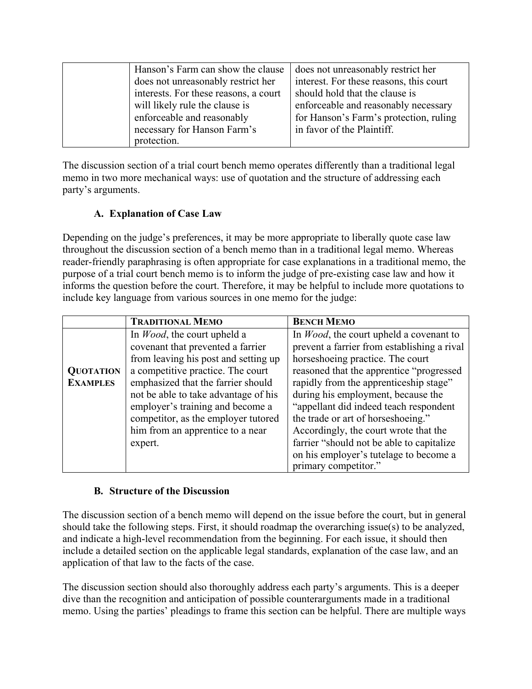| Hanson's Farm can show the clause     | does not unreasonably restrict her      |
|---------------------------------------|-----------------------------------------|
| does not unreasonably restrict her    | interest. For these reasons, this court |
| interests. For these reasons, a court | should hold that the clause is          |
| will likely rule the clause is        | enforceable and reasonably necessary    |
| enforceable and reasonably            | for Hanson's Farm's protection, ruling  |
| necessary for Hanson Farm's           | in favor of the Plaintiff.              |
| protection.                           |                                         |

The discussion section of a trial court bench memo operates differently than a traditional legal memo in two more mechanical ways: use of quotation and the structure of addressing each party's arguments.

# **A. Explanation of Case Law**

Depending on the judge's preferences, it may be more appropriate to liberally quote case law throughout the discussion section of a bench memo than in a traditional legal memo. Whereas reader-friendly paraphrasing is often appropriate for case explanations in a traditional memo, the purpose of a trial court bench memo is to inform the judge of pre-existing case law and how it informs the question before the court. Therefore, it may be helpful to include more quotations to include key language from various sources in one memo for the judge:

|                  | <b>TRADITIONAL MEMO</b>              | <b>BENCH MEMO</b>                               |
|------------------|--------------------------------------|-------------------------------------------------|
|                  | In <i>Wood</i> , the court upheld a  | In <i>Wood</i> , the court upheld a covenant to |
|                  | covenant that prevented a farrier    | prevent a farrier from establishing a rival     |
|                  | from leaving his post and setting up | horseshoeing practice. The court                |
| <b>QUOTATION</b> | a competitive practice. The court    | reasoned that the apprentice "progressed        |
| <b>EXAMPLES</b>  | emphasized that the farrier should   | rapidly from the apprenticeship stage"          |
|                  | not be able to take advantage of his | during his employment, because the              |
|                  | employer's training and become a     | "appellant did indeed teach respondent          |
|                  | competitor, as the employer tutored  | the trade or art of horseshoeing."              |
|                  | him from an apprentice to a near     | Accordingly, the court wrote that the           |
|                  | expert.                              | farrier "should not be able to capitalize"      |
|                  |                                      | on his employer's tutelage to become a          |
|                  |                                      | primary competitor."                            |

## **B. Structure of the Discussion**

The discussion section of a bench memo will depend on the issue before the court, but in general should take the following steps. First, it should roadmap the overarching issue(s) to be analyzed, and indicate a high-level recommendation from the beginning. For each issue, it should then include a detailed section on the applicable legal standards, explanation of the case law, and an application of that law to the facts of the case.

The discussion section should also thoroughly address each party's arguments. This is a deeper dive than the recognition and anticipation of possible counterarguments made in a traditional memo. Using the parties' pleadings to frame this section can be helpful. There are multiple ways